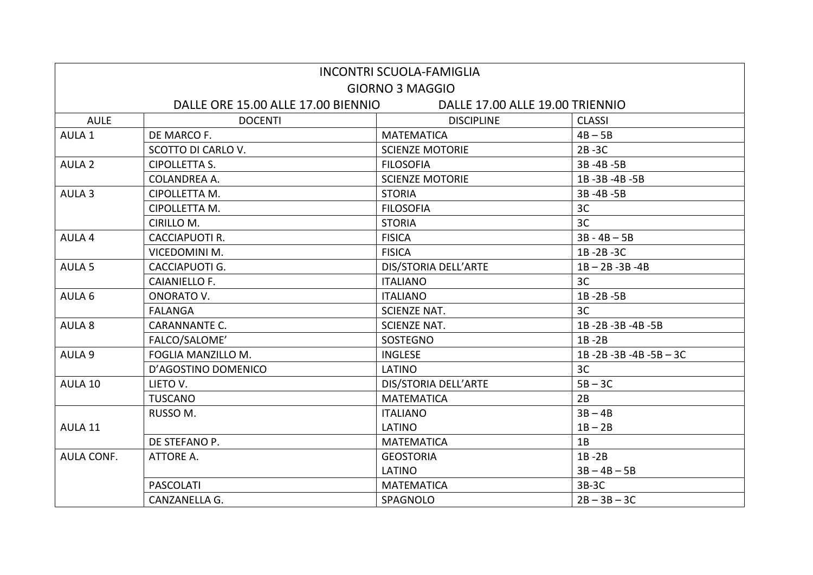| <b>INCONTRI SCUOLA-FAMIGLIA</b>                                       |                       |                        |                     |  |  |
|-----------------------------------------------------------------------|-----------------------|------------------------|---------------------|--|--|
| <b>GIORNO 3 MAGGIO</b>                                                |                       |                        |                     |  |  |
| DALLE ORE 15.00 ALLE 17.00 BIENNIO<br>DALLE 17.00 ALLE 19.00 TRIENNIO |                       |                        |                     |  |  |
| <b>AULE</b>                                                           | <b>DOCENTI</b>        | <b>DISCIPLINE</b>      | <b>CLASSI</b>       |  |  |
| AULA 1                                                                | DE MARCO F.           | <b>MATEMATICA</b>      | $4B - 5B$           |  |  |
|                                                                       | SCOTTO DI CARLO V.    | <b>SCIENZE MOTORIE</b> | $2B - 3C$           |  |  |
| AULA <sub>2</sub>                                                     | <b>CIPOLLETTA S.</b>  | <b>FILOSOFIA</b>       | 3B-4B-5B            |  |  |
|                                                                       | <b>COLANDREA A.</b>   | <b>SCIENZE MOTORIE</b> | 1B-3B-4B-5B         |  |  |
| AULA <sub>3</sub>                                                     | CIPOLLETTA M.         | <b>STORIA</b>          | 3B-4B-5B            |  |  |
|                                                                       | CIPOLLETTA M.         | <b>FILOSOFIA</b>       | 3C                  |  |  |
|                                                                       | CIRILLO M.            | <b>STORIA</b>          | 3C                  |  |  |
| AULA 4                                                                | <b>CACCIAPUOTI R.</b> | <b>FISICA</b>          | $3B - 4B - 5B$      |  |  |
|                                                                       | VICEDOMINI M.         | <b>FISICA</b>          | 1B-2B-3C            |  |  |
| AULA <sub>5</sub>                                                     | CACCIAPUOTI G.        | DIS/STORIA DELL'ARTE   | $1B - 2B - 3B - 4B$ |  |  |
|                                                                       | <b>CAIANIELLO F.</b>  | <b>ITALIANO</b>        | 3C                  |  |  |
| AULA 6                                                                | ONORATO V.            | <b>ITALIANO</b>        | 1B-2B-5B            |  |  |
|                                                                       | <b>FALANGA</b>        | <b>SCIENZE NAT.</b>    | 3C                  |  |  |
| AULA 8                                                                | <b>CARANNANTE C.</b>  | <b>SCIENZE NAT.</b>    | 1B-2B-3B-4B-5B      |  |  |
|                                                                       | FALCO/SALOME'         | <b>SOSTEGNO</b>        | $1B - 2B$           |  |  |
| AULA 9                                                                | FOGLIA MANZILLO M.    | <b>INGLESE</b>         | 1B-2B-3B-4B-5B-3C   |  |  |
|                                                                       | D'AGOSTINO DOMENICO   | LATINO                 | 3C                  |  |  |
| AULA 10                                                               | LIETO V.              | DIS/STORIA DELL'ARTE   | $5B - 3C$           |  |  |
|                                                                       | <b>TUSCANO</b>        | <b>MATEMATICA</b>      | 2B                  |  |  |
|                                                                       | RUSSO M.              | <b>ITALIANO</b>        | $3B - 4B$           |  |  |
| AULA 11                                                               |                       | LATINO                 | $1B - 2B$           |  |  |
|                                                                       | DE STEFANO P.         | <b>MATEMATICA</b>      | 1B                  |  |  |
| <b>AULA CONF.</b>                                                     | ATTORE A.             | <b>GEOSTORIA</b>       | $1B - 2B$           |  |  |
|                                                                       |                       | LATINO                 | $3B - 4B - 5B$      |  |  |
|                                                                       | <b>PASCOLATI</b>      | <b>MATEMATICA</b>      | $3B-3C$             |  |  |
|                                                                       | CANZANELLA G.         | SPAGNOLO               | $2B - 3B - 3C$      |  |  |